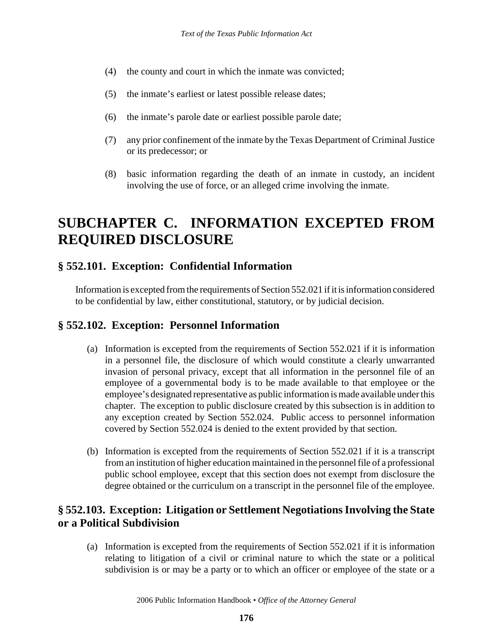- (4) the county and court in which the inmate was convicted;
- (5) the inmate's earliest or latest possible release dates;
- (6) the inmate's parole date or earliest possible parole date;
- (7) any prior confinement of the inmate by the Texas Department of Criminal Justice or its predecessor; or
- (8) basic information regarding the death of an inmate in custody, an incident involving the use of force, or an alleged crime involving the inmate.

# **SUBCHAPTER C. INFORMATION EXCEPTED FROM REQUIRED DISCLOSURE**

#### **§ 552.101. Exception: Confidential Information**

Information is excepted from the requirements of Section 552.021 if it is information considered to be confidential by law, either constitutional, statutory, or by judicial decision.

#### **§ 552.102. Exception: Personnel Information**

- (a) Information is excepted from the requirements of Section 552.021 if it is information in a personnel file, the disclosure of which would constitute a clearly unwarranted invasion of personal privacy, except that all information in the personnel file of an employee of a governmental body is to be made available to that employee or the employee's designated representative as public information is made available under this chapter. The exception to public disclosure created by this subsection is in addition to any exception created by Section 552.024. Public access to personnel information covered by Section 552.024 is denied to the extent provided by that section.
- (b) Information is excepted from the requirements of Section 552.021 if it is a transcript from an institution of higher education maintained in the personnel file of a professional public school employee, except that this section does not exempt from disclosure the degree obtained or the curriculum on a transcript in the personnel file of the employee.

#### **§ 552.103. Exception: Litigation or Settlement Negotiations Involving the State or a Political Subdivision**

(a) Information is excepted from the requirements of Section 552.021 if it is information relating to litigation of a civil or criminal nature to which the state or a political subdivision is or may be a party or to which an officer or employee of the state or a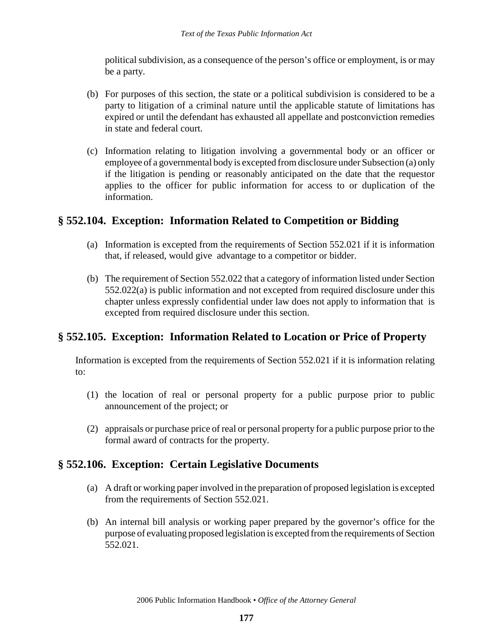political subdivision, as a consequence of the person's office or employment, is or may be a party.

- (b) For purposes of this section, the state or a political subdivision is considered to be a party to litigation of a criminal nature until the applicable statute of limitations has expired or until the defendant has exhausted all appellate and postconviction remedies in state and federal court.
- (c) Information relating to litigation involving a governmental body or an officer or employee of a governmental body is excepted from disclosure under Subsection (a) only if the litigation is pending or reasonably anticipated on the date that the requestor applies to the officer for public information for access to or duplication of the information.

## **§ 552.104. Exception: Information Related to Competition or Bidding**

- (a) Information is excepted from the requirements of Section 552.021 if it is information that, if released, would give advantage to a competitor or bidder.
- (b) The requirement of Section 552.022 that a category of information listed under Section 552.022(a) is public information and not excepted from required disclosure under this chapter unless expressly confidential under law does not apply to information that is excepted from required disclosure under this section.

# **§ 552.105. Exception: Information Related to Location or Price of Property**

Information is excepted from the requirements of Section 552.021 if it is information relating to:

- (1) the location of real or personal property for a public purpose prior to public announcement of the project; or
- (2) appraisals or purchase price of real or personal property for a public purpose prior to the formal award of contracts for the property.

# **§ 552.106. Exception: Certain Legislative Documents**

- (a) A draft or working paper involved in the preparation of proposed legislation is excepted from the requirements of Section 552.021.
- (b) An internal bill analysis or working paper prepared by the governor's office for the purpose of evaluating proposed legislation is excepted from the requirements of Section 552.021.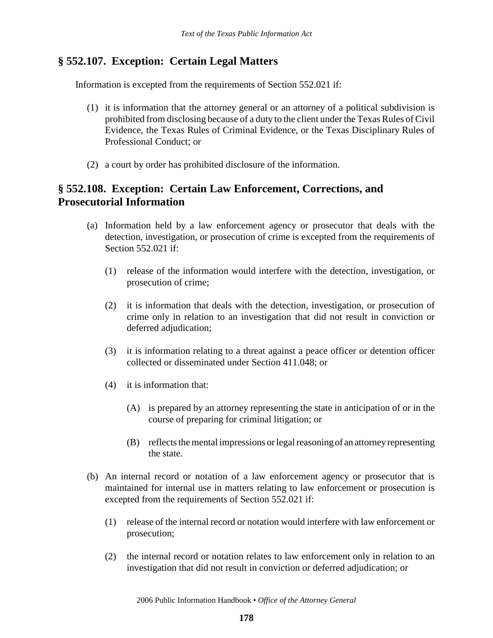## **§ 552.107. Exception: Certain Legal Matters**

Information is excepted from the requirements of Section 552.021 if:

- (1) it is information that the attorney general or an attorney of a political subdivision is prohibited from disclosing because of a duty to the client under the Texas Rules of Civil Evidence, the Texas Rules of Criminal Evidence, or the Texas Disciplinary Rules of Professional Conduct; or
- (2) a court by order has prohibited disclosure of the information.

## **§ 552.108. Exception: Certain Law Enforcement, Corrections, and Prosecutorial Information**

- (a) Information held by a law enforcement agency or prosecutor that deals with the detection, investigation, or prosecution of crime is excepted from the requirements of Section 552.021 if:
	- (1) release of the information would interfere with the detection, investigation, or prosecution of crime;
	- (2) it is information that deals with the detection, investigation, or prosecution of crime only in relation to an investigation that did not result in conviction or deferred adjudication;
	- (3) it is information relating to a threat against a peace officer or detention officer collected or disseminated under Section 411.048; or
	- (4) it is information that:
		- (A) is prepared by an attorney representing the state in anticipation of or in the course of preparing for criminal litigation; or
		- (B) reflects the mental impressions or legal reasoning of an attorney representing the state.
- (b) An internal record or notation of a law enforcement agency or prosecutor that is maintained for internal use in matters relating to law enforcement or prosecution is excepted from the requirements of Section 552.021 if:
	- (1) release of the internal record or notation would interfere with law enforcement or prosecution;
	- (2) the internal record or notation relates to law enforcement only in relation to an investigation that did not result in conviction or deferred adjudication; or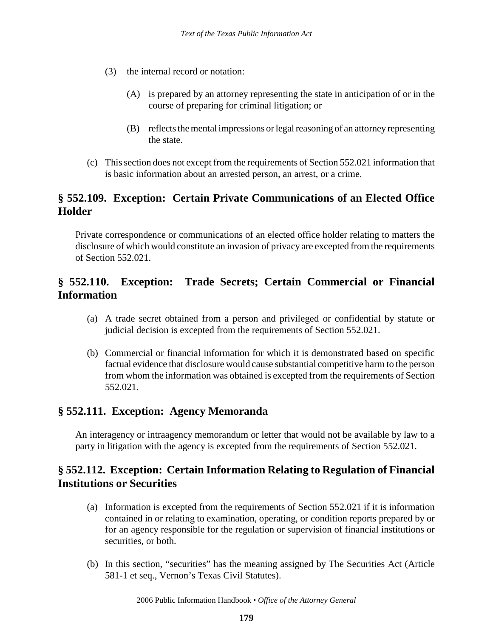- (3) the internal record or notation:
	- (A) is prepared by an attorney representing the state in anticipation of or in the course of preparing for criminal litigation; or
	- (B) reflects the mental impressions or legal reasoning of an attorney representing the state.
- (c) This section does not except from the requirements of Section 552.021 information that is basic information about an arrested person, an arrest, or a crime.

# **§ 552.109. Exception: Certain Private Communications of an Elected Office Holder**

Private correspondence or communications of an elected office holder relating to matters the disclosure of which would constitute an invasion of privacy are excepted from the requirements of Section 552.021.

# **§ 552.110. Exception: Trade Secrets; Certain Commercial or Financial Information**

- (a) A trade secret obtained from a person and privileged or confidential by statute or judicial decision is excepted from the requirements of Section 552.021.
- (b) Commercial or financial information for which it is demonstrated based on specific factual evidence that disclosure would cause substantial competitive harm to the person from whom the information was obtained is excepted from the requirements of Section 552.021.

## **§ 552.111. Exception: Agency Memoranda**

An interagency or intraagency memorandum or letter that would not be available by law to a party in litigation with the agency is excepted from the requirements of Section 552.021.

## **§ 552.112. Exception: Certain Information Relating to Regulation of Financial Institutions or Securities**

- (a) Information is excepted from the requirements of Section 552.021 if it is information contained in or relating to examination, operating, or condition reports prepared by or for an agency responsible for the regulation or supervision of financial institutions or securities, or both.
- (b) In this section, "securities" has the meaning assigned by The Securities Act (Article 581-1 et seq., Vernon's Texas Civil Statutes).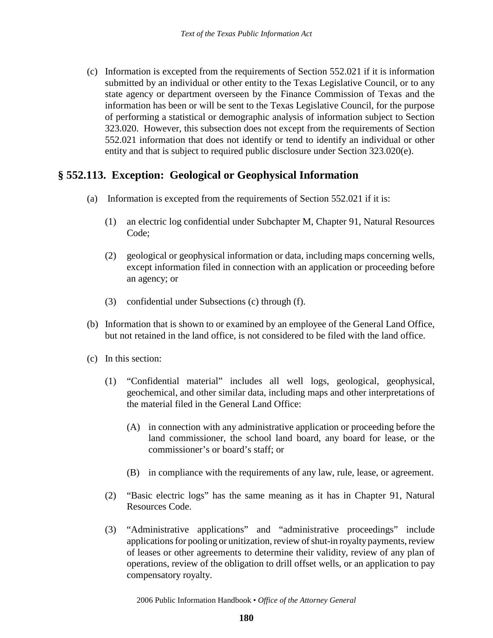(c) Information is excepted from the requirements of Section 552.021 if it is information submitted by an individual or other entity to the Texas Legislative Council, or to any state agency or department overseen by the Finance Commission of Texas and the information has been or will be sent to the Texas Legislative Council, for the purpose of performing a statistical or demographic analysis of information subject to Section 323.020. However, this subsection does not except from the requirements of Section 552.021 information that does not identify or tend to identify an individual or other entity and that is subject to required public disclosure under Section 323.020(e).

#### **§ 552.113. Exception: Geological or Geophysical Information**

- (a) Information is excepted from the requirements of Section 552.021 if it is:
	- (1) an electric log confidential under Subchapter M, Chapter 91, Natural Resources Code;
	- (2) geological or geophysical information or data, including maps concerning wells, except information filed in connection with an application or proceeding before an agency; or
	- (3) confidential under Subsections (c) through (f).
- (b) Information that is shown to or examined by an employee of the General Land Office, but not retained in the land office, is not considered to be filed with the land office.
- (c) In this section:
	- (1) "Confidential material" includes all well logs, geological, geophysical, geochemical, and other similar data, including maps and other interpretations of the material filed in the General Land Office:
		- (A) in connection with any administrative application or proceeding before the land commissioner, the school land board, any board for lease, or the commissioner's or board's staff; or
		- (B) in compliance with the requirements of any law, rule, lease, or agreement.
	- (2) "Basic electric logs" has the same meaning as it has in Chapter 91, Natural Resources Code.
	- (3) "Administrative applications" and "administrative proceedings" include applications for pooling or unitization, review of shut-in royalty payments, review of leases or other agreements to determine their validity, review of any plan of operations, review of the obligation to drill offset wells, or an application to pay compensatory royalty.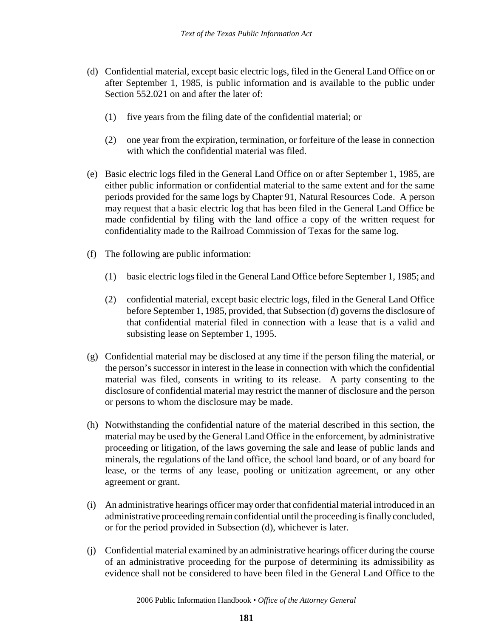- (d) Confidential material, except basic electric logs, filed in the General Land Office on or after September 1, 1985, is public information and is available to the public under Section 552.021 on and after the later of:
	- (1) five years from the filing date of the confidential material; or
	- (2) one year from the expiration, termination, or forfeiture of the lease in connection with which the confidential material was filed.
- (e) Basic electric logs filed in the General Land Office on or after September 1, 1985, are either public information or confidential material to the same extent and for the same periods provided for the same logs by Chapter 91, Natural Resources Code. A person may request that a basic electric log that has been filed in the General Land Office be made confidential by filing with the land office a copy of the written request for confidentiality made to the Railroad Commission of Texas for the same log.
- (f) The following are public information:
	- (1) basic electric logs filed in the General Land Office before September 1, 1985; and
	- (2) confidential material, except basic electric logs, filed in the General Land Office before September 1, 1985, provided, that Subsection (d) governs the disclosure of that confidential material filed in connection with a lease that is a valid and subsisting lease on September 1, 1995.
- (g) Confidential material may be disclosed at any time if the person filing the material, or the person's successor in interest in the lease in connection with which the confidential material was filed, consents in writing to its release. A party consenting to the disclosure of confidential material may restrict the manner of disclosure and the person or persons to whom the disclosure may be made.
- (h) Notwithstanding the confidential nature of the material described in this section, the material may be used by the General Land Office in the enforcement, by administrative proceeding or litigation, of the laws governing the sale and lease of public lands and minerals, the regulations of the land office, the school land board, or of any board for lease, or the terms of any lease, pooling or unitization agreement, or any other agreement or grant.
- (i) An administrative hearings officer may order that confidential material introduced in an administrative proceeding remain confidential until the proceeding is finally concluded, or for the period provided in Subsection (d), whichever is later.
- (j) Confidential material examined by an administrative hearings officer during the course of an administrative proceeding for the purpose of determining its admissibility as evidence shall not be considered to have been filed in the General Land Office to the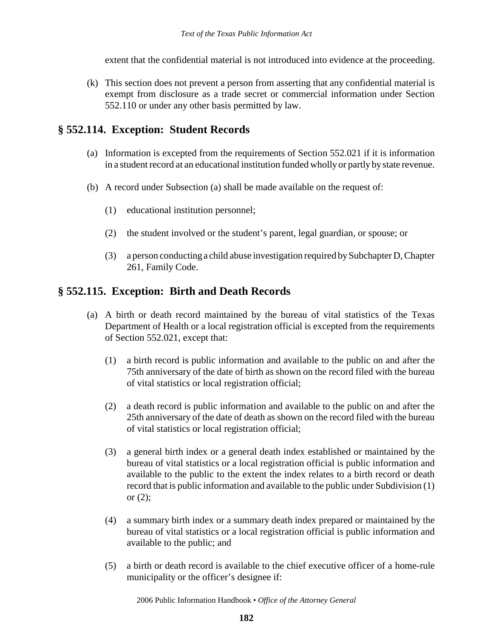extent that the confidential material is not introduced into evidence at the proceeding.

(k) This section does not prevent a person from asserting that any confidential material is exempt from disclosure as a trade secret or commercial information under Section 552.110 or under any other basis permitted by law.

## **§ 552.114. Exception: Student Records**

- (a) Information is excepted from the requirements of Section 552.021 if it is information in a student record at an educational institution funded wholly or partly by state revenue.
- (b) A record under Subsection (a) shall be made available on the request of:
	- (1) educational institution personnel;
	- (2) the student involved or the student's parent, legal guardian, or spouse; or
	- (3) a person conducting a child abuse investigation required by Subchapter D, Chapter 261, Family Code.

## **§ 552.115. Exception: Birth and Death Records**

- (a) A birth or death record maintained by the bureau of vital statistics of the Texas Department of Health or a local registration official is excepted from the requirements of Section 552.021, except that:
	- (1) a birth record is public information and available to the public on and after the 75th anniversary of the date of birth as shown on the record filed with the bureau of vital statistics or local registration official;
	- (2) a death record is public information and available to the public on and after the 25th anniversary of the date of death as shown on the record filed with the bureau of vital statistics or local registration official;
	- (3) a general birth index or a general death index established or maintained by the bureau of vital statistics or a local registration official is public information and available to the public to the extent the index relates to a birth record or death record that is public information and available to the public under Subdivision (1) or  $(2)$ ;
	- (4) a summary birth index or a summary death index prepared or maintained by the bureau of vital statistics or a local registration official is public information and available to the public; and
	- (5) a birth or death record is available to the chief executive officer of a home-rule municipality or the officer's designee if: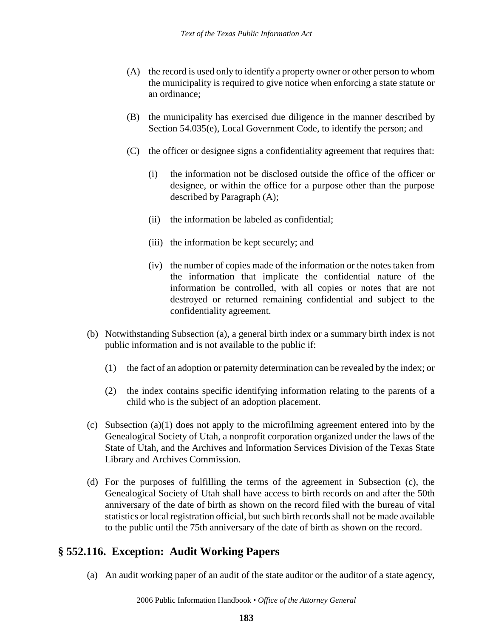- (A) the record is used only to identify a property owner or other person to whom the municipality is required to give notice when enforcing a state statute or an ordinance;
- (B) the municipality has exercised due diligence in the manner described by Section 54.035(e), Local Government Code, to identify the person; and
- (C) the officer or designee signs a confidentiality agreement that requires that:
	- (i) the information not be disclosed outside the office of the officer or designee, or within the office for a purpose other than the purpose described by Paragraph (A);
	- (ii) the information be labeled as confidential;
	- (iii) the information be kept securely; and
	- (iv) the number of copies made of the information or the notes taken from the information that implicate the confidential nature of the information be controlled, with all copies or notes that are not destroyed or returned remaining confidential and subject to the confidentiality agreement.
- (b) Notwithstanding Subsection (a), a general birth index or a summary birth index is not public information and is not available to the public if:
	- (1) the fact of an adoption or paternity determination can be revealed by the index; or
	- (2) the index contains specific identifying information relating to the parents of a child who is the subject of an adoption placement.
- (c) Subsection (a)(1) does not apply to the microfilming agreement entered into by the Genealogical Society of Utah, a nonprofit corporation organized under the laws of the State of Utah, and the Archives and Information Services Division of the Texas State Library and Archives Commission.
- (d) For the purposes of fulfilling the terms of the agreement in Subsection (c), the Genealogical Society of Utah shall have access to birth records on and after the 50th anniversary of the date of birth as shown on the record filed with the bureau of vital statistics or local registration official, but such birth records shall not be made available to the public until the 75th anniversary of the date of birth as shown on the record.

#### **§ 552.116. Exception: Audit Working Papers**

(a) An audit working paper of an audit of the state auditor or the auditor of a state agency,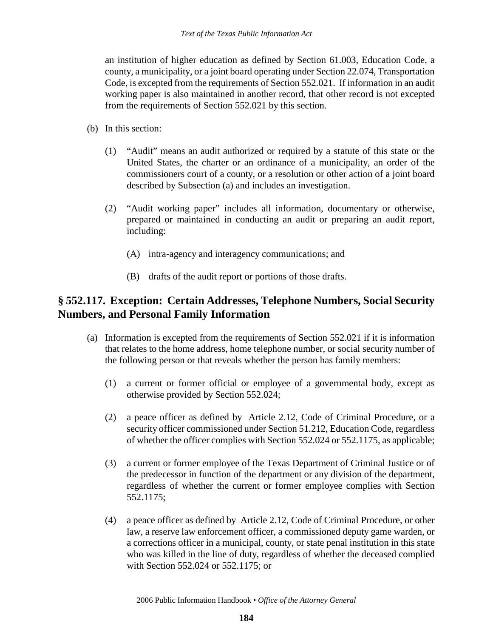an institution of higher education as defined by Section 61.003, Education Code, a county, a municipality, or a joint board operating under Section 22.074, Transportation Code, is excepted from the requirements of Section 552.021. If information in an audit working paper is also maintained in another record, that other record is not excepted from the requirements of Section 552.021 by this section.

- (b) In this section:
	- (1) "Audit" means an audit authorized or required by a statute of this state or the United States, the charter or an ordinance of a municipality, an order of the commissioners court of a county, or a resolution or other action of a joint board described by Subsection (a) and includes an investigation.
	- (2) "Audit working paper" includes all information, documentary or otherwise, prepared or maintained in conducting an audit or preparing an audit report, including:
		- (A) intra-agency and interagency communications; and
		- (B) drafts of the audit report or portions of those drafts.

## **§ 552.117. Exception: Certain Addresses, Telephone Numbers, Social Security Numbers, and Personal Family Information**

- (a) Information is excepted from the requirements of Section 552.021 if it is information that relates to the home address, home telephone number, or social security number of the following person or that reveals whether the person has family members:
	- (1) a current or former official or employee of a governmental body, except as otherwise provided by Section 552.024;
	- (2) a peace officer as defined by Article 2.12, Code of Criminal Procedure, or a security officer commissioned under Section 51.212, Education Code, regardless of whether the officer complies with Section 552.024 or 552.1175, as applicable;
	- (3) a current or former employee of the Texas Department of Criminal Justice or of the predecessor in function of the department or any division of the department, regardless of whether the current or former employee complies with Section 552.1175;
	- (4) a peace officer as defined by Article 2.12, Code of Criminal Procedure, or other law, a reserve law enforcement officer, a commissioned deputy game warden, or a corrections officer in a municipal, county, or state penal institution in this state who was killed in the line of duty, regardless of whether the deceased complied with Section 552.024 or 552.1175; or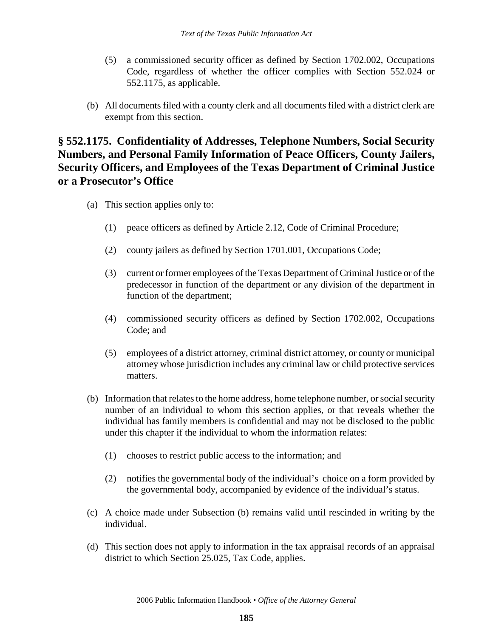- (5) a commissioned security officer as defined by Section 1702.002, Occupations Code, regardless of whether the officer complies with Section 552.024 or 552.1175, as applicable.
- (b) All documents filed with a county clerk and all documents filed with a district clerk are exempt from this section.

# **§ 552.1175. Confidentiality of Addresses, Telephone Numbers, Social Security Numbers, and Personal Family Information of Peace Officers, County Jailers, Security Officers, and Employees of the Texas Department of Criminal Justice or a Prosecutor's Office**

- (a) This section applies only to:
	- (1) peace officers as defined by Article 2.12, Code of Criminal Procedure;
	- (2) county jailers as defined by Section 1701.001, Occupations Code;
	- (3) current or former employees of the Texas Department of Criminal Justice or of the predecessor in function of the department or any division of the department in function of the department;
	- (4) commissioned security officers as defined by Section 1702.002, Occupations Code; and
	- (5) employees of a district attorney, criminal district attorney, or county or municipal attorney whose jurisdiction includes any criminal law or child protective services matters.
- (b) Information that relates to the home address, home telephone number, or social security number of an individual to whom this section applies, or that reveals whether the individual has family members is confidential and may not be disclosed to the public under this chapter if the individual to whom the information relates:
	- (1) chooses to restrict public access to the information; and
	- (2) notifies the governmental body of the individual's choice on a form provided by the governmental body, accompanied by evidence of the individual's status.
- (c) A choice made under Subsection (b) remains valid until rescinded in writing by the individual.
- (d) This section does not apply to information in the tax appraisal records of an appraisal district to which Section 25.025, Tax Code, applies.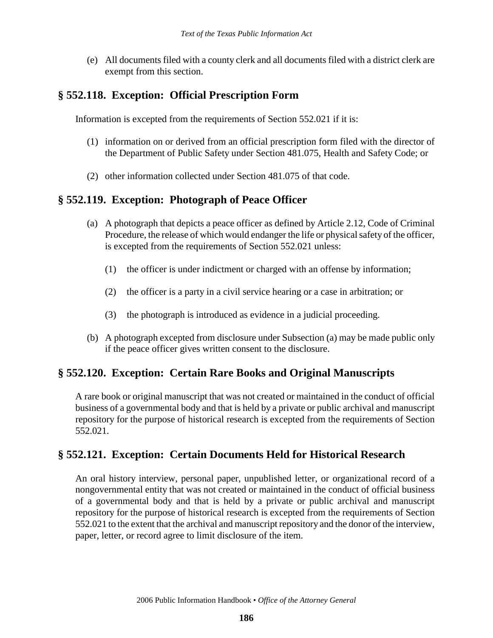(e) All documents filed with a county clerk and all documents filed with a district clerk are exempt from this section.

#### **§ 552.118. Exception: Official Prescription Form**

Information is excepted from the requirements of Section 552.021 if it is:

- (1) information on or derived from an official prescription form filed with the director of the Department of Public Safety under Section 481.075, Health and Safety Code; or
- (2) other information collected under Section 481.075 of that code.

#### **§ 552.119. Exception: Photograph of Peace Officer**

- (a) A photograph that depicts a peace officer as defined by Article 2.12, Code of Criminal Procedure, the release of which would endanger the life or physical safety of the officer, is excepted from the requirements of Section 552.021 unless:
	- (1) the officer is under indictment or charged with an offense by information;
	- (2) the officer is a party in a civil service hearing or a case in arbitration; or
	- (3) the photograph is introduced as evidence in a judicial proceeding.
- (b) A photograph excepted from disclosure under Subsection (a) may be made public only if the peace officer gives written consent to the disclosure.

## **§ 552.120. Exception: Certain Rare Books and Original Manuscripts**

A rare book or original manuscript that was not created or maintained in the conduct of official business of a governmental body and that is held by a private or public archival and manuscript repository for the purpose of historical research is excepted from the requirements of Section 552.021.

## **§ 552.121. Exception: Certain Documents Held for Historical Research**

An oral history interview, personal paper, unpublished letter, or organizational record of a nongovernmental entity that was not created or maintained in the conduct of official business of a governmental body and that is held by a private or public archival and manuscript repository for the purpose of historical research is excepted from the requirements of Section 552.021 to the extent that the archival and manuscript repository and the donor of the interview, paper, letter, or record agree to limit disclosure of the item.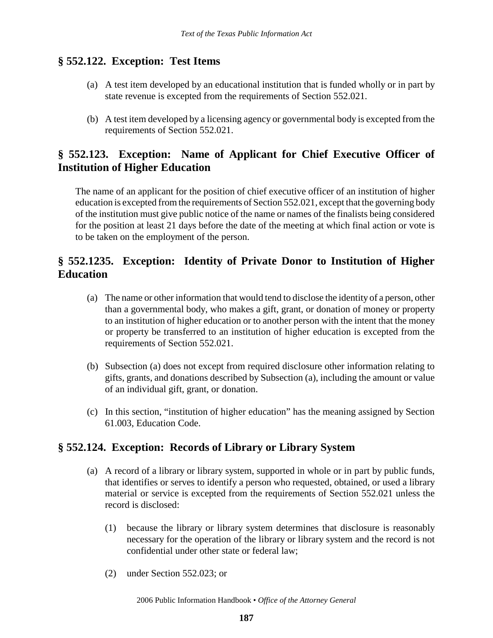## **§ 552.122. Exception: Test Items**

- (a) A test item developed by an educational institution that is funded wholly or in part by state revenue is excepted from the requirements of Section 552.021.
- (b) A test item developed by a licensing agency or governmental body is excepted from the requirements of Section 552.021.

## **§ 552.123. Exception: Name of Applicant for Chief Executive Officer of Institution of Higher Education**

The name of an applicant for the position of chief executive officer of an institution of higher education is excepted from the requirements of Section 552.021, except that the governing body of the institution must give public notice of the name or names of the finalists being considered for the position at least 21 days before the date of the meeting at which final action or vote is to be taken on the employment of the person.

# **§ 552.1235. Exception: Identity of Private Donor to Institution of Higher Education**

- (a) The name or other information that would tend to disclose the identity of a person, other than a governmental body, who makes a gift, grant, or donation of money or property to an institution of higher education or to another person with the intent that the money or property be transferred to an institution of higher education is excepted from the requirements of Section 552.021.
- (b) Subsection (a) does not except from required disclosure other information relating to gifts, grants, and donations described by Subsection (a), including the amount or value of an individual gift, grant, or donation.
- (c) In this section, "institution of higher education" has the meaning assigned by Section 61.003, Education Code.

# **§ 552.124. Exception: Records of Library or Library System**

- (a) A record of a library or library system, supported in whole or in part by public funds, that identifies or serves to identify a person who requested, obtained, or used a library material or service is excepted from the requirements of Section 552.021 unless the record is disclosed:
	- (1) because the library or library system determines that disclosure is reasonably necessary for the operation of the library or library system and the record is not confidential under other state or federal law;
	- (2) under Section 552.023; or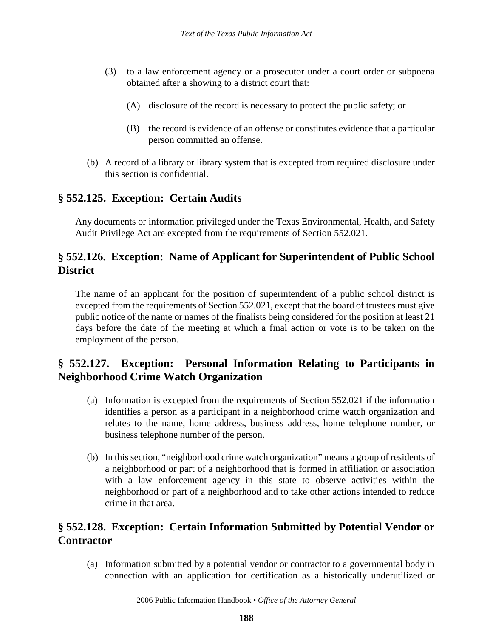- (3) to a law enforcement agency or a prosecutor under a court order or subpoena obtained after a showing to a district court that:
	- (A) disclosure of the record is necessary to protect the public safety; or
	- (B) the record is evidence of an offense or constitutes evidence that a particular person committed an offense.
- (b) A record of a library or library system that is excepted from required disclosure under this section is confidential.

# **§ 552.125. Exception: Certain Audits**

Any documents or information privileged under the Texas Environmental, Health, and Safety Audit Privilege Act are excepted from the requirements of Section 552.021.

## **§ 552.126. Exception: Name of Applicant for Superintendent of Public School District**

The name of an applicant for the position of superintendent of a public school district is excepted from the requirements of Section 552.021, except that the board of trustees must give public notice of the name or names of the finalists being considered for the position at least 21 days before the date of the meeting at which a final action or vote is to be taken on the employment of the person.

# **§ 552.127. Exception: Personal Information Relating to Participants in Neighborhood Crime Watch Organization**

- (a) Information is excepted from the requirements of Section 552.021 if the information identifies a person as a participant in a neighborhood crime watch organization and relates to the name, home address, business address, home telephone number, or business telephone number of the person.
- (b) In this section, "neighborhood crime watch organization" means a group of residents of a neighborhood or part of a neighborhood that is formed in affiliation or association with a law enforcement agency in this state to observe activities within the neighborhood or part of a neighborhood and to take other actions intended to reduce crime in that area.

# **§ 552.128. Exception: Certain Information Submitted by Potential Vendor or Contractor**

(a) Information submitted by a potential vendor or contractor to a governmental body in connection with an application for certification as a historically underutilized or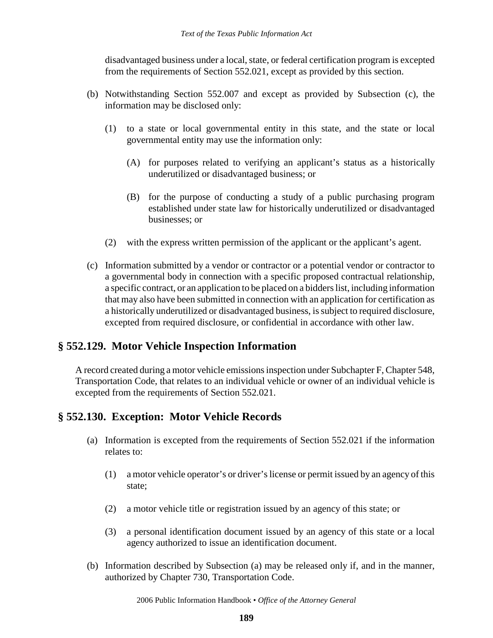disadvantaged business under a local, state, or federal certification program is excepted from the requirements of Section 552.021, except as provided by this section.

- (b) Notwithstanding Section 552.007 and except as provided by Subsection (c), the information may be disclosed only:
	- (1) to a state or local governmental entity in this state, and the state or local governmental entity may use the information only:
		- (A) for purposes related to verifying an applicant's status as a historically underutilized or disadvantaged business; or
		- (B) for the purpose of conducting a study of a public purchasing program established under state law for historically underutilized or disadvantaged businesses; or
	- (2) with the express written permission of the applicant or the applicant's agent.
- (c) Information submitted by a vendor or contractor or a potential vendor or contractor to a governmental body in connection with a specific proposed contractual relationship, a specific contract, or an application to be placed on a bidders list, including information that may also have been submitted in connection with an application for certification as a historically underutilized or disadvantaged business, is subject to required disclosure, excepted from required disclosure, or confidential in accordance with other law.

## **§ 552.129. Motor Vehicle Inspection Information**

A record created during a motor vehicle emissions inspection under Subchapter F, Chapter 548, Transportation Code, that relates to an individual vehicle or owner of an individual vehicle is excepted from the requirements of Section 552.021.

## **§ 552.130. Exception: Motor Vehicle Records**

- (a) Information is excepted from the requirements of Section 552.021 if the information relates to:
	- (1) a motor vehicle operator's or driver's license or permit issued by an agency of this state;
	- (2) a motor vehicle title or registration issued by an agency of this state; or
	- (3) a personal identification document issued by an agency of this state or a local agency authorized to issue an identification document.
- (b) Information described by Subsection (a) may be released only if, and in the manner, authorized by Chapter 730, Transportation Code.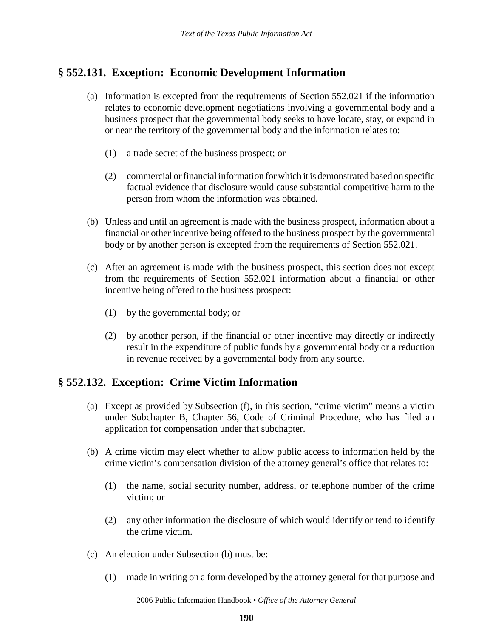## **§ 552.131. Exception: Economic Development Information**

- (a) Information is excepted from the requirements of Section 552.021 if the information relates to economic development negotiations involving a governmental body and a business prospect that the governmental body seeks to have locate, stay, or expand in or near the territory of the governmental body and the information relates to:
	- (1) a trade secret of the business prospect; or
	- (2) commercial or financial information for which it is demonstrated based on specific factual evidence that disclosure would cause substantial competitive harm to the person from whom the information was obtained.
- (b) Unless and until an agreement is made with the business prospect, information about a financial or other incentive being offered to the business prospect by the governmental body or by another person is excepted from the requirements of Section 552.021.
- (c) After an agreement is made with the business prospect, this section does not except from the requirements of Section 552.021 information about a financial or other incentive being offered to the business prospect:
	- (1) by the governmental body; or
	- (2) by another person, if the financial or other incentive may directly or indirectly result in the expenditure of public funds by a governmental body or a reduction in revenue received by a governmental body from any source.

## **§ 552.132. Exception: Crime Victim Information**

- (a) Except as provided by Subsection (f), in this section, "crime victim" means a victim under Subchapter B, Chapter 56, Code of Criminal Procedure, who has filed an application for compensation under that subchapter.
- (b) A crime victim may elect whether to allow public access to information held by the crime victim's compensation division of the attorney general's office that relates to:
	- (1) the name, social security number, address, or telephone number of the crime victim; or
	- (2) any other information the disclosure of which would identify or tend to identify the crime victim.
- (c) An election under Subsection (b) must be:
	- (1) made in writing on a form developed by the attorney general for that purpose and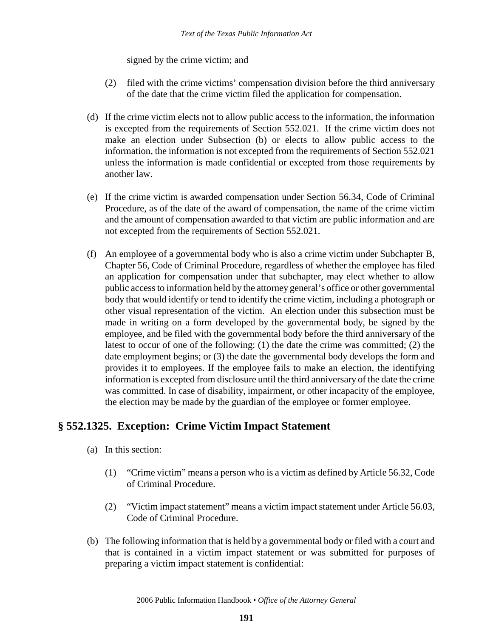signed by the crime victim; and

- (2) filed with the crime victims' compensation division before the third anniversary of the date that the crime victim filed the application for compensation.
- (d) If the crime victim elects not to allow public access to the information, the information is excepted from the requirements of Section 552.021. If the crime victim does not make an election under Subsection (b) or elects to allow public access to the information, the information is not excepted from the requirements of Section 552.021 unless the information is made confidential or excepted from those requirements by another law.
- (e) If the crime victim is awarded compensation under Section 56.34, Code of Criminal Procedure, as of the date of the award of compensation, the name of the crime victim and the amount of compensation awarded to that victim are public information and are not excepted from the requirements of Section 552.021.
- (f) An employee of a governmental body who is also a crime victim under Subchapter B, Chapter 56, Code of Criminal Procedure, regardless of whether the employee has filed an application for compensation under that subchapter, may elect whether to allow public access to information held by the attorney general's office or other governmental body that would identify or tend to identify the crime victim, including a photograph or other visual representation of the victim. An election under this subsection must be made in writing on a form developed by the governmental body, be signed by the employee, and be filed with the governmental body before the third anniversary of the latest to occur of one of the following: (1) the date the crime was committed; (2) the date employment begins; or (3) the date the governmental body develops the form and provides it to employees. If the employee fails to make an election, the identifying information is excepted from disclosure until the third anniversary of the date the crime was committed. In case of disability, impairment, or other incapacity of the employee, the election may be made by the guardian of the employee or former employee.

## **§ 552.1325. Exception: Crime Victim Impact Statement**

- (a) In this section:
	- (1) "Crime victim" means a person who is a victim as defined by Article 56.32, Code of Criminal Procedure.
	- (2) "Victim impact statement" means a victim impact statement under Article 56.03, Code of Criminal Procedure.
- (b) The following information that is held by a governmental body or filed with a court and that is contained in a victim impact statement or was submitted for purposes of preparing a victim impact statement is confidential: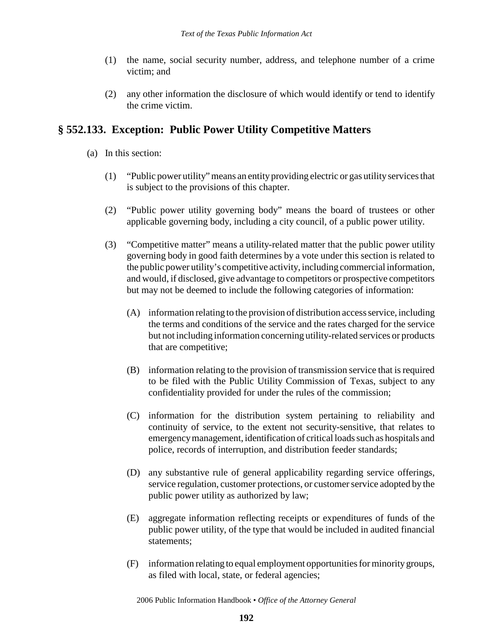- (1) the name, social security number, address, and telephone number of a crime victim; and
- (2) any other information the disclosure of which would identify or tend to identify the crime victim.

## **§ 552.133. Exception: Public Power Utility Competitive Matters**

- (a) In this section:
	- (1) "Public power utility" means an entity providing electric or gas utility services that is subject to the provisions of this chapter.
	- (2) "Public power utility governing body" means the board of trustees or other applicable governing body, including a city council, of a public power utility.
	- (3) "Competitive matter" means a utility-related matter that the public power utility governing body in good faith determines by a vote under this section is related to the public power utility's competitive activity, including commercial information, and would, if disclosed, give advantage to competitors or prospective competitors but may not be deemed to include the following categories of information:
		- (A) information relating to the provision of distribution access service, including the terms and conditions of the service and the rates charged for the service but not including information concerning utility-related services or products that are competitive;
		- (B) information relating to the provision of transmission service that is required to be filed with the Public Utility Commission of Texas, subject to any confidentiality provided for under the rules of the commission;
		- (C) information for the distribution system pertaining to reliability and continuity of service, to the extent not security-sensitive, that relates to emergency management, identification of critical loads such as hospitals and police, records of interruption, and distribution feeder standards;
		- (D) any substantive rule of general applicability regarding service offerings, service regulation, customer protections, or customer service adopted by the public power utility as authorized by law;
		- (E) aggregate information reflecting receipts or expenditures of funds of the public power utility, of the type that would be included in audited financial statements;
		- (F) information relating to equal employment opportunities for minority groups, as filed with local, state, or federal agencies;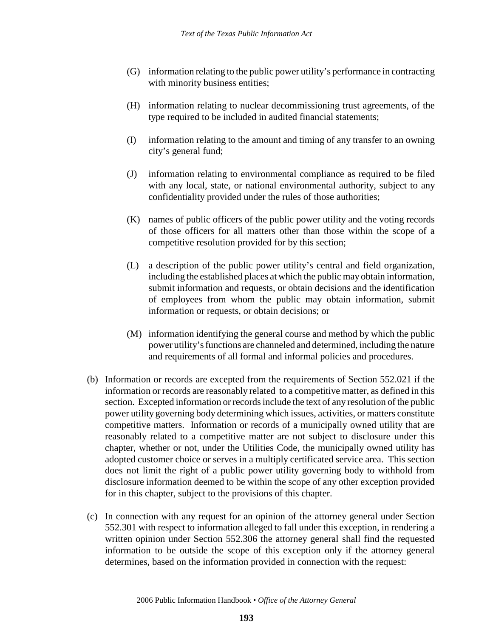- (G) information relating to the public power utility's performance in contracting with minority business entities;
- (H) information relating to nuclear decommissioning trust agreements, of the type required to be included in audited financial statements;
- (I) information relating to the amount and timing of any transfer to an owning city's general fund;
- (J) information relating to environmental compliance as required to be filed with any local, state, or national environmental authority, subject to any confidentiality provided under the rules of those authorities;
- (K) names of public officers of the public power utility and the voting records of those officers for all matters other than those within the scope of a competitive resolution provided for by this section;
- (L) a description of the public power utility's central and field organization, including the established places at which the public may obtain information, submit information and requests, or obtain decisions and the identification of employees from whom the public may obtain information, submit information or requests, or obtain decisions; or
- (M) information identifying the general course and method by which the public power utility's functions are channeled and determined, including the nature and requirements of all formal and informal policies and procedures.
- (b) Information or records are excepted from the requirements of Section 552.021 if the information or records are reasonably related to a competitive matter, as defined in this section. Excepted information or records include the text of any resolution of the public power utility governing body determining which issues, activities, or matters constitute competitive matters. Information or records of a municipally owned utility that are reasonably related to a competitive matter are not subject to disclosure under this chapter, whether or not, under the Utilities Code, the municipally owned utility has adopted customer choice or serves in a multiply certificated service area. This section does not limit the right of a public power utility governing body to withhold from disclosure information deemed to be within the scope of any other exception provided for in this chapter, subject to the provisions of this chapter.
- (c) In connection with any request for an opinion of the attorney general under Section 552.301 with respect to information alleged to fall under this exception, in rendering a written opinion under Section 552.306 the attorney general shall find the requested information to be outside the scope of this exception only if the attorney general determines, based on the information provided in connection with the request: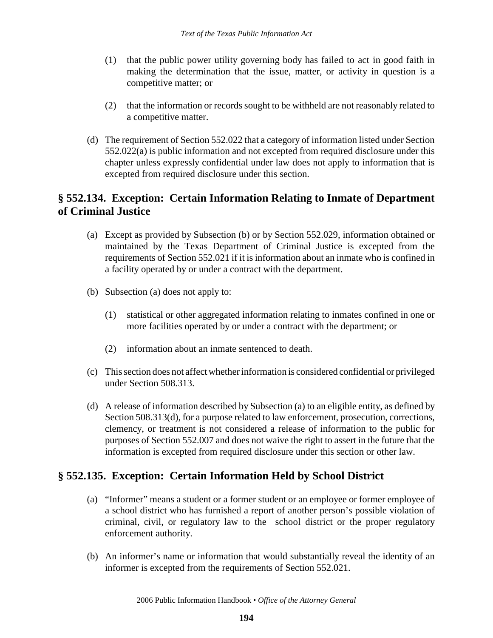- (1) that the public power utility governing body has failed to act in good faith in making the determination that the issue, matter, or activity in question is a competitive matter; or
- (2) that the information or records sought to be withheld are not reasonably related to a competitive matter.
- (d) The requirement of Section 552.022 that a category of information listed under Section 552.022(a) is public information and not excepted from required disclosure under this chapter unless expressly confidential under law does not apply to information that is excepted from required disclosure under this section.

## **§ 552.134. Exception: Certain Information Relating to Inmate of Department of Criminal Justice**

- (a) Except as provided by Subsection (b) or by Section 552.029, information obtained or maintained by the Texas Department of Criminal Justice is excepted from the requirements of Section 552.021 if it is information about an inmate who is confined in a facility operated by or under a contract with the department.
- (b) Subsection (a) does not apply to:
	- (1) statistical or other aggregated information relating to inmates confined in one or more facilities operated by or under a contract with the department; or
	- (2) information about an inmate sentenced to death.
- (c) This section does not affect whether information is considered confidential or privileged under Section 508.313.
- (d) A release of information described by Subsection (a) to an eligible entity, as defined by Section 508.313(d), for a purpose related to law enforcement, prosecution, corrections, clemency, or treatment is not considered a release of information to the public for purposes of Section 552.007 and does not waive the right to assert in the future that the information is excepted from required disclosure under this section or other law.

# **§ 552.135. Exception: Certain Information Held by School District**

- (a) "Informer" means a student or a former student or an employee or former employee of a school district who has furnished a report of another person's possible violation of criminal, civil, or regulatory law to the school district or the proper regulatory enforcement authority.
- (b) An informer's name or information that would substantially reveal the identity of an informer is excepted from the requirements of Section 552.021.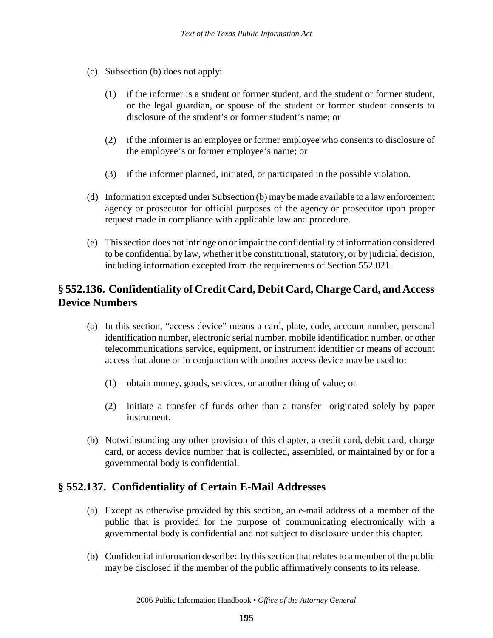- (c) Subsection (b) does not apply:
	- (1) if the informer is a student or former student, and the student or former student, or the legal guardian, or spouse of the student or former student consents to disclosure of the student's or former student's name; or
	- (2) if the informer is an employee or former employee who consents to disclosure of the employee's or former employee's name; or
	- (3) if the informer planned, initiated, or participated in the possible violation.
- (d) Information excepted under Subsection (b) may be made available to a law enforcement agency or prosecutor for official purposes of the agency or prosecutor upon proper request made in compliance with applicable law and procedure.
- (e) This section does not infringe on or impair the confidentiality of information considered to be confidential by law, whether it be constitutional, statutory, or by judicial decision, including information excepted from the requirements of Section 552.021.

# **§ 552.136. Confidentiality of Credit Card, Debit Card, Charge Card, and Access Device Numbers**

- (a) In this section, "access device" means a card, plate, code, account number, personal identification number, electronic serial number, mobile identification number, or other telecommunications service, equipment, or instrument identifier or means of account access that alone or in conjunction with another access device may be used to:
	- (1) obtain money, goods, services, or another thing of value; or
	- (2) initiate a transfer of funds other than a transfer originated solely by paper instrument.
- (b) Notwithstanding any other provision of this chapter, a credit card, debit card, charge card, or access device number that is collected, assembled, or maintained by or for a governmental body is confidential.

## **§ 552.137. Confidentiality of Certain E-Mail Addresses**

- (a) Except as otherwise provided by this section, an e-mail address of a member of the public that is provided for the purpose of communicating electronically with a governmental body is confidential and not subject to disclosure under this chapter.
- (b) Confidential information described by this section that relates to a member of the public may be disclosed if the member of the public affirmatively consents to its release.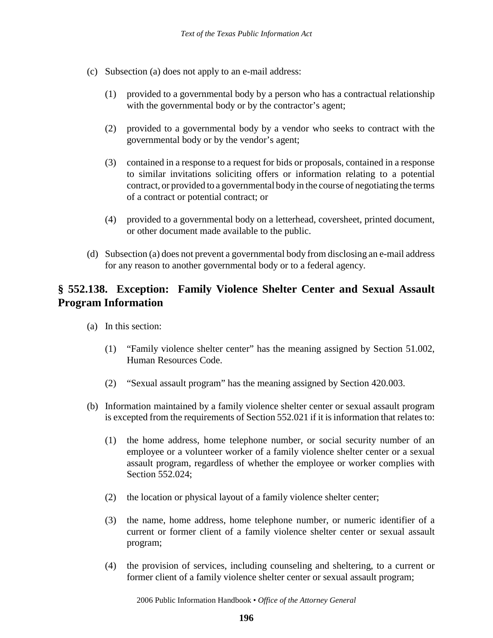- (c) Subsection (a) does not apply to an e-mail address:
	- (1) provided to a governmental body by a person who has a contractual relationship with the governmental body or by the contractor's agent;
	- (2) provided to a governmental body by a vendor who seeks to contract with the governmental body or by the vendor's agent;
	- (3) contained in a response to a request for bids or proposals, contained in a response to similar invitations soliciting offers or information relating to a potential contract, or provided to a governmental body in the course of negotiating the terms of a contract or potential contract; or
	- (4) provided to a governmental body on a letterhead, coversheet, printed document, or other document made available to the public.
- (d) Subsection (a) does not prevent a governmental body from disclosing an e-mail address for any reason to another governmental body or to a federal agency.

## **§ 552.138. Exception: Family Violence Shelter Center and Sexual Assault Program Information**

- (a) In this section:
	- (1) "Family violence shelter center" has the meaning assigned by Section 51.002, Human Resources Code.
	- (2) "Sexual assault program" has the meaning assigned by Section 420.003.
- (b) Information maintained by a family violence shelter center or sexual assault program is excepted from the requirements of Section 552.021 if it is information that relates to:
	- (1) the home address, home telephone number, or social security number of an employee or a volunteer worker of a family violence shelter center or a sexual assault program, regardless of whether the employee or worker complies with Section 552.024;
	- (2) the location or physical layout of a family violence shelter center;
	- (3) the name, home address, home telephone number, or numeric identifier of a current or former client of a family violence shelter center or sexual assault program;
	- (4) the provision of services, including counseling and sheltering, to a current or former client of a family violence shelter center or sexual assault program;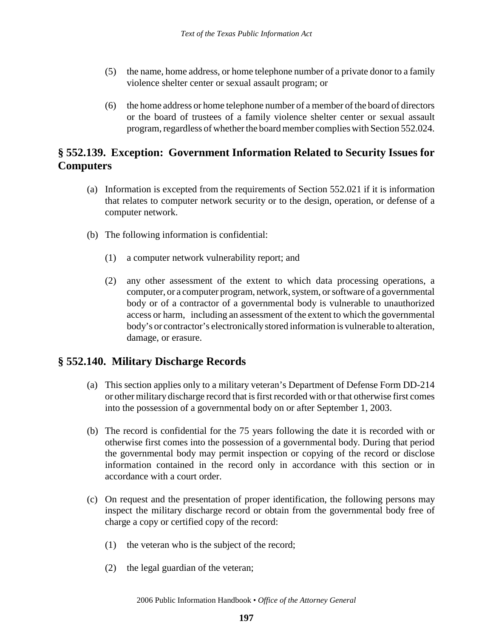- (5) the name, home address, or home telephone number of a private donor to a family violence shelter center or sexual assault program; or
- (6) the home address or home telephone number of a member of the board of directors or the board of trustees of a family violence shelter center or sexual assault program, regardless of whether the board member complies with Section 552.024.

# **§ 552.139. Exception: Government Information Related to Security Issues for Computers**

- (a) Information is excepted from the requirements of Section 552.021 if it is information that relates to computer network security or to the design, operation, or defense of a computer network.
- (b) The following information is confidential:
	- (1) a computer network vulnerability report; and
	- (2) any other assessment of the extent to which data processing operations, a computer, or a computer program, network, system, or software of a governmental body or of a contractor of a governmental body is vulnerable to unauthorized access or harm, including an assessment of the extent to which the governmental body's or contractor's electronically stored information is vulnerable to alteration, damage, or erasure.

# **§ 552.140. Military Discharge Records**

- (a) This section applies only to a military veteran's Department of Defense Form DD-214 or other military discharge record that is first recorded with or that otherwise first comes into the possession of a governmental body on or after September 1, 2003.
- (b) The record is confidential for the 75 years following the date it is recorded with or otherwise first comes into the possession of a governmental body. During that period the governmental body may permit inspection or copying of the record or disclose information contained in the record only in accordance with this section or in accordance with a court order.
- (c) On request and the presentation of proper identification, the following persons may inspect the military discharge record or obtain from the governmental body free of charge a copy or certified copy of the record:
	- (1) the veteran who is the subject of the record;
	- (2) the legal guardian of the veteran;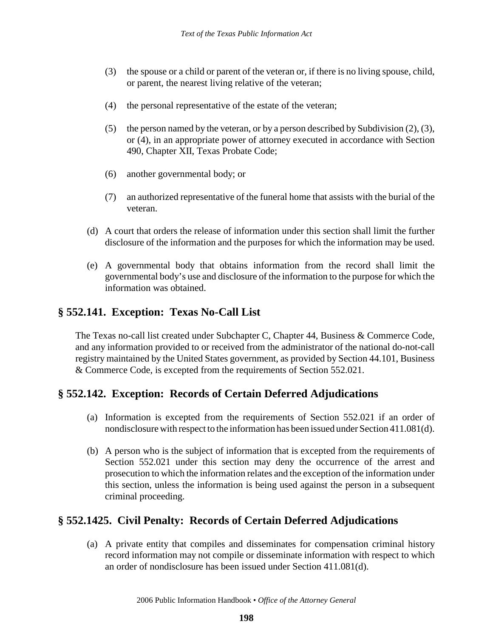- (3) the spouse or a child or parent of the veteran or, if there is no living spouse, child, or parent, the nearest living relative of the veteran;
- (4) the personal representative of the estate of the veteran;
- (5) the person named by the veteran, or by a person described by Subdivision (2), (3), or (4), in an appropriate power of attorney executed in accordance with Section 490, Chapter XII, Texas Probate Code;
- (6) another governmental body; or
- (7) an authorized representative of the funeral home that assists with the burial of the veteran.
- (d) A court that orders the release of information under this section shall limit the further disclosure of the information and the purposes for which the information may be used.
- (e) A governmental body that obtains information from the record shall limit the governmental body's use and disclosure of the information to the purpose for which the information was obtained.

#### **§ 552.141. Exception: Texas No-Call List**

The Texas no-call list created under Subchapter C, Chapter 44, Business & Commerce Code, and any information provided to or received from the administrator of the national do-not-call registry maintained by the United States government, as provided by Section 44.101, Business & Commerce Code, is excepted from the requirements of Section 552.021.

## **§ 552.142. Exception: Records of Certain Deferred Adjudications**

- (a) Information is excepted from the requirements of Section 552.021 if an order of nondisclosure with respect to the information has been issued under Section 411.081(d).
- (b) A person who is the subject of information that is excepted from the requirements of Section 552.021 under this section may deny the occurrence of the arrest and prosecution to which the information relates and the exception of the information under this section, unless the information is being used against the person in a subsequent criminal proceeding.

## **§ 552.1425. Civil Penalty: Records of Certain Deferred Adjudications**

(a) A private entity that compiles and disseminates for compensation criminal history record information may not compile or disseminate information with respect to which an order of nondisclosure has been issued under Section 411.081(d).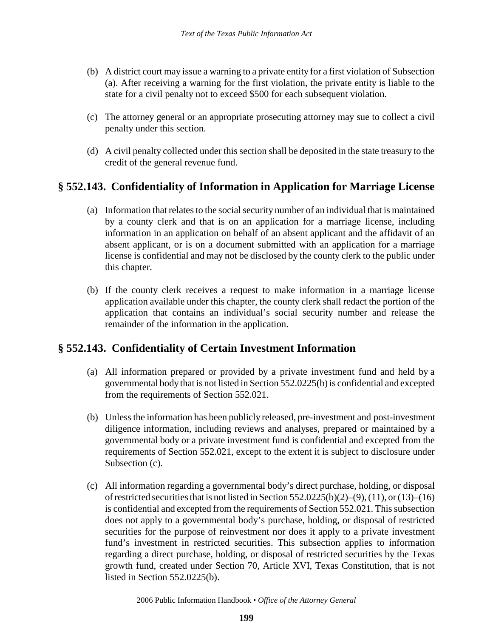- (b) A district court may issue a warning to a private entity for a first violation of Subsection (a). After receiving a warning for the first violation, the private entity is liable to the state for a civil penalty not to exceed \$500 for each subsequent violation.
- (c) The attorney general or an appropriate prosecuting attorney may sue to collect a civil penalty under this section.
- (d) A civil penalty collected under this section shall be deposited in the state treasury to the credit of the general revenue fund.

#### **§ 552.143. Confidentiality of Information in Application for Marriage License**

- (a) Information that relates to the social security number of an individual that is maintained by a county clerk and that is on an application for a marriage license, including information in an application on behalf of an absent applicant and the affidavit of an absent applicant, or is on a document submitted with an application for a marriage license is confidential and may not be disclosed by the county clerk to the public under this chapter.
- (b) If the county clerk receives a request to make information in a marriage license application available under this chapter, the county clerk shall redact the portion of the application that contains an individual's social security number and release the remainder of the information in the application.

## **§ 552.143. Confidentiality of Certain Investment Information**

- (a) All information prepared or provided by a private investment fund and held by a governmental body that is not listed in Section 552.0225(b) is confidential and excepted from the requirements of Section 552.021.
- (b) Unless the information has been publicly released, pre-investment and post-investment diligence information, including reviews and analyses, prepared or maintained by a governmental body or a private investment fund is confidential and excepted from the requirements of Section 552.021, except to the extent it is subject to disclosure under Subsection (c).
- (c) All information regarding a governmental body's direct purchase, holding, or disposal of restricted securities that is not listed in Section 552.0225(b)(2)–(9), (11), or (13)–(16) is confidential and excepted from the requirements of Section 552.021. This subsection does not apply to a governmental body's purchase, holding, or disposal of restricted securities for the purpose of reinvestment nor does it apply to a private investment fund's investment in restricted securities. This subsection applies to information regarding a direct purchase, holding, or disposal of restricted securities by the Texas growth fund, created under Section 70, Article XVI, Texas Constitution, that is not listed in Section 552.0225(b).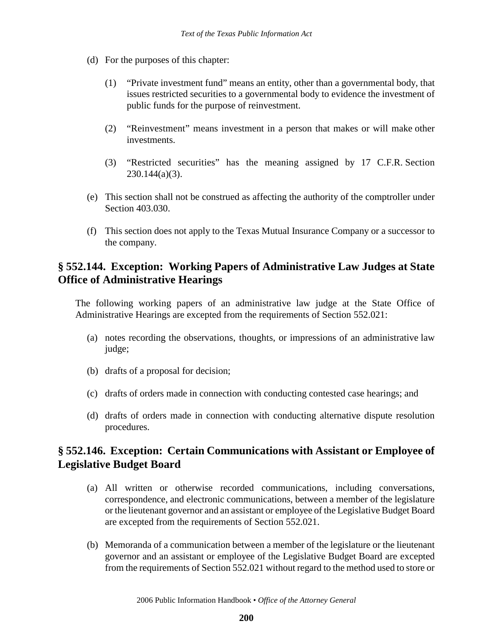- (d) For the purposes of this chapter:
	- (1) "Private investment fund" means an entity, other than a governmental body, that issues restricted securities to a governmental body to evidence the investment of public funds for the purpose of reinvestment.
	- (2) "Reinvestment" means investment in a person that makes or will make other investments.
	- (3) "Restricted securities" has the meaning assigned by 17 C.F.R. Section  $230.144(a)(3)$ .
- (e) This section shall not be construed as affecting the authority of the comptroller under Section 403.030.
- (f) This section does not apply to the Texas Mutual Insurance Company or a successor to the company.

## **§ 552.144. Exception: Working Papers of Administrative Law Judges at State Office of Administrative Hearings**

The following working papers of an administrative law judge at the State Office of Administrative Hearings are excepted from the requirements of Section 552.021:

- (a) notes recording the observations, thoughts, or impressions of an administrative law judge;
- (b) drafts of a proposal for decision;
- (c) drafts of orders made in connection with conducting contested case hearings; and
- (d) drafts of orders made in connection with conducting alternative dispute resolution procedures.

## **§ 552.146. Exception: Certain Communications with Assistant or Employee of Legislative Budget Board**

- (a) All written or otherwise recorded communications, including conversations, correspondence, and electronic communications, between a member of the legislature or the lieutenant governor and an assistant or employee of the Legislative Budget Board are excepted from the requirements of Section 552.021.
- (b) Memoranda of a communication between a member of the legislature or the lieutenant governor and an assistant or employee of the Legislative Budget Board are excepted from the requirements of Section 552.021 without regard to the method used to store or